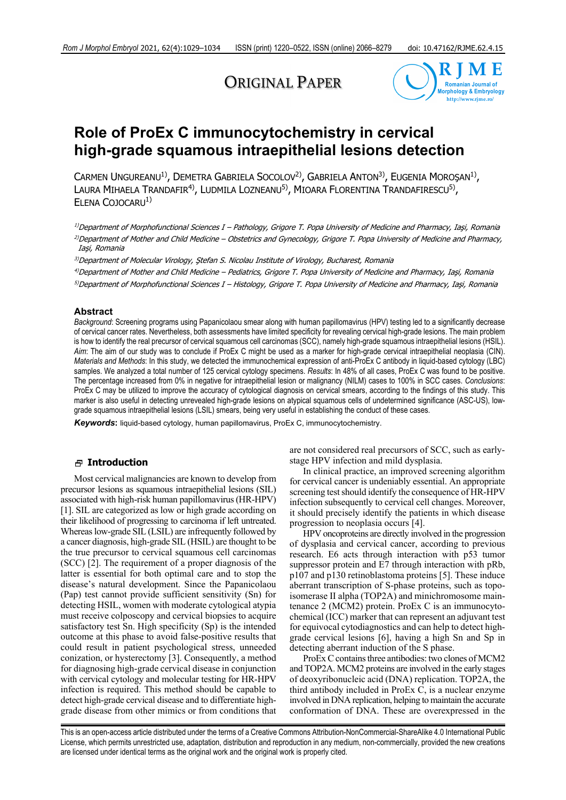# ORIGINAL PAPER



# **Role of ProEx C immunocytochemistry in cervical high-grade squamous intraepithelial lesions detection**

CARMEN UNGUREANU<sup>1)</sup>, DEMETRA GABRIELA SOCOLOV<sup>2</sup>), GABRIELA ANTON<sup>3)</sup>, EUGENIA MOROŞAN<sup>1</sup>), LAURA MIHAELA TRANDAFIR<sup>4)</sup>, LUDMILA LOZNEANU<sup>5)</sup>, MIOARA FLORENTINA TRANDAFIRESCU<sup>5)</sup>, ELENA COJOCARU<sup>1)</sup>

1)Department of Morphofunctional Sciences I – Pathology, Grigore T. Popa University of Medicine and Pharmacy, Iaşi, Romania 2)Department of Mother and Child Medicine – Obstetrics and Gynecology, Grigore T. Popa University of Medicine and Pharmacy, Iaşi, Romania

<sup>3)</sup>Department of Molecular Virology, Ştefan S. Nicolau Institute of Virology, Bucharest, Romania

4)Department of Mother and Child Medicine – Pediatrics, Grigore T. Popa University of Medicine and Pharmacy, Iaşi, Romania

5)Department of Morphofunctional Sciences I – Histology, Grigore T. Popa University of Medicine and Pharmacy, Iaşi, Romania

## **Abstract**

*Background*: Screening programs using Papanicolaou smear along with human papillomavirus (HPV) testing led to a significantly decrease of cervical cancer rates. Nevertheless, both assessments have limited specificity for revealing cervical high-grade lesions. The main problem is how to identify the real precursor of cervical squamous cell carcinomas (SCC), namely high-grade squamous intraepithelial lesions (HSIL). *Aim*: The aim of our study was to conclude if ProEx C might be used as a marker for high-grade cervical intraepithelial neoplasia (CIN). *Materials and Methods*: In this study, we detected the immunochemical expression of anti-ProEx C antibody in liquid-based cytology (LBC) samples. We analyzed a total number of 125 cervical cytology specimens. *Results*: In 48% of all cases, ProEx C was found to be positive. The percentage increased from 0% in negative for intraepithelial lesion or malignancy (NILM) cases to 100% in SCC cases. *Conclusions*: ProEx C may be utilized to improve the accuracy of cytological diagnosis on cervical smears, according to the findings of this study. This marker is also useful in detecting unrevealed high-grade lesions on atypical squamous cells of undetermined significance (ASC-US), lowgrade squamous intraepithelial lesions (LSIL) smears, being very useful in establishing the conduct of these cases.

*Keywords***:** liquid-based cytology, human papillomavirus, ProEx C, immunocytochemistry.

#### **Introduction**

Most cervical malignancies are known to develop from precursor lesions as squamous intraepithelial lesions (SIL) associated with high-risk human papillomavirus (HR-HPV) [1]. SIL are categorized as low or high grade according on their likelihood of progressing to carcinoma if left untreated. Whereas low-grade SIL (LSIL) are infrequently followed by a cancer diagnosis, high-grade SIL (HSIL) are thought to be the true precursor to cervical squamous cell carcinomas (SCC) [2]. The requirement of a proper diagnosis of the latter is essential for both optimal care and to stop the disease's natural development. Since the Papanicolaou (Pap) test cannot provide sufficient sensitivity (Sn) for detecting HSIL, women with moderate cytological atypia must receive colposcopy and cervical biopsies to acquire satisfactory test Sn. High specificity (Sp) is the intended outcome at this phase to avoid false-positive results that could result in patient psychological stress, unneeded conization, or hysterectomy [3]. Consequently, a method for diagnosing high-grade cervical disease in conjunction with cervical cytology and molecular testing for HR-HPV infection is required. This method should be capable to detect high-grade cervical disease and to differentiate highgrade disease from other mimics or from conditions that

are not considered real precursors of SCC, such as earlystage HPV infection and mild dysplasia.

In clinical practice, an improved screening algorithm for cervical cancer is undeniably essential. An appropriate screening test should identify the consequence of HR-HPV infection subsequently to cervical cell changes. Moreover, it should precisely identify the patients in which disease progression to neoplasia occurs [4].

HPV oncoproteins are directly involved in the progression of dysplasia and cervical cancer, according to previous research. E6 acts through interaction with p53 tumor suppressor protein and E7 through interaction with pRb, p107 and p130 retinoblastoma proteins [5]. These induce aberrant transcription of S-phase proteins, such as topoisomerase II alpha (TOP2A) and minichromosome maintenance 2 (MCM2) protein. ProEx C is an immunocytochemical (ICC) marker that can represent an adjuvant test for equivocal cytodiagnostics and can help to detect highgrade cervical lesions [6], having a high Sn and Sp in detecting aberrant induction of the S phase.

ProEx C contains three antibodies: two clones of MCM2 and TOP2A. MCM2 proteins are involved in the early stages of deoxyribonucleic acid (DNA) replication. TOP2A, the third antibody included in ProEx C, is a nuclear enzyme involved in DNA replication, helping to maintain the accurate conformation of DNA. These are overexpressed in the

This is an open-access article distributed under the terms of a Creative Commons Attribution-NonCommercial-ShareAlike 4.0 International Public License, which permits unrestricted use, adaptation, distribution and reproduction in any medium, non-commercially, provided the new creations are licensed under identical terms as the original work and the original work is properly cited.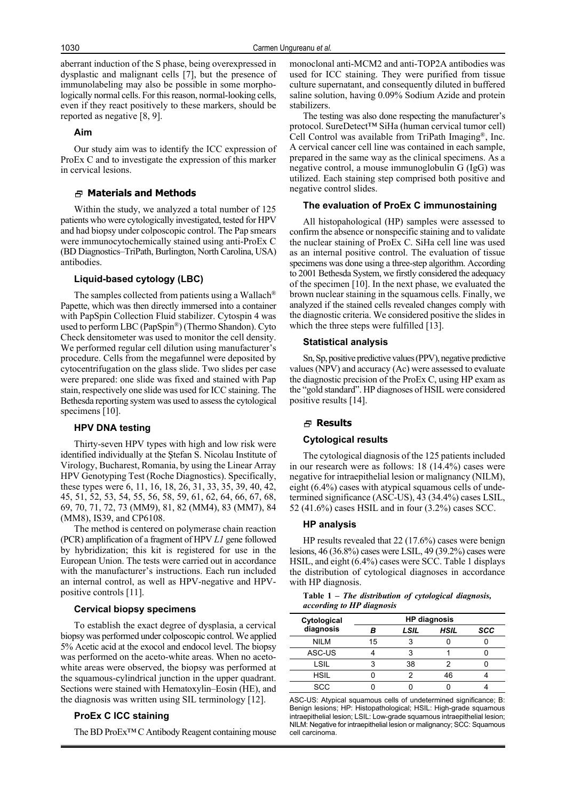aberrant induction of the S phase, being overexpressed in dysplastic and malignant cells [7], but the presence of immunolabeling may also be possible in some morphologically normal cells. For this reason, normal-looking cells, even if they react positively to these markers, should be reported as negative [8, 9].

## **Aim**

Our study aim was to identify the ICC expression of ProEx C and to investigate the expression of this marker in cervical lesions.

#### **Materials and Methods**

Within the study, we analyzed a total number of 125 patients who were cytologically investigated, tested for HPV and had biopsy under colposcopic control. The Pap smears were immunocytochemically stained using anti-ProEx C (BD Diagnostics–TriPath, Burlington, North Carolina, USA) antibodies.

## **Liquid-based cytology (LBC)**

The samples collected from patients using a Wallach® Papette, which was then directly immersed into a container with PapSpin Collection Fluid stabilizer. Cytospin 4 was used to perform LBC (PapSpin®) (Thermo Shandon). Cyto Check densitometer was used to monitor the cell density. We performed regular cell dilution using manufacturer's procedure. Cells from the megafunnel were deposited by cytocentrifugation on the glass slide. Two slides per case were prepared: one slide was fixed and stained with Pap stain, respectively one slide was used for ICC staining. The Bethesda reporting system was used to assess the cytological specimens [10].

## **HPV DNA testing**

Thirty-seven HPV types with high and low risk were identified individually at the Ştefan S. Nicolau Institute of Virology, Bucharest, Romania, by using the Linear Array HPV Genotyping Test (Roche Diagnostics). Specifically, these types were 6, 11, 16, 18, 26, 31, 33, 35, 39, 40, 42, 45, 51, 52, 53, 54, 55, 56, 58, 59, 61, 62, 64, 66, 67, 68, 69, 70, 71, 72, 73 (MM9), 81, 82 (MM4), 83 (MM7), 84 (MM8), IS39, and CP6108.

The method is centered on polymerase chain reaction (PCR) amplification of a fragment of HPV *L1* gene followed by hybridization; this kit is registered for use in the European Union. The tests were carried out in accordance with the manufacturer's instructions. Each run included an internal control, as well as HPV-negative and HPVpositive controls [11].

#### **Cervical biopsy specimens**

To establish the exact degree of dysplasia, a cervical biopsy was performed under colposcopic control. We applied 5% Acetic acid at the exocol and endocol level. The biopsy was performed on the aceto-white areas. When no acetowhite areas were observed, the biopsy was performed at the squamous-cylindrical junction in the upper quadrant. Sections were stained with Hematoxylin–Eosin (HE), and the diagnosis was written using SIL terminology [12].

## **ProEx C ICC staining**

The BD ProEx™ C Antibody Reagent containing mouse

monoclonal anti-MCM2 and anti-TOP2A antibodies was used for ICC staining. They were purified from tissue culture supernatant, and consequently diluted in buffered saline solution, having 0.09% Sodium Azide and protein stabilizers.

The testing was also done respecting the manufacturer's protocol. SureDetect™ SiHa (human cervical tumor cell) Cell Control was available from TriPath Imaging®, Inc. A cervical cancer cell line was contained in each sample, prepared in the same way as the clinical specimens. As a negative control, a mouse immunoglobulin G (IgG) was utilized. Each staining step comprised both positive and negative control slides.

# **The evaluation of ProEx C immunostaining**

All histopahological (HP) samples were assessed to confirm the absence or nonspecific staining and to validate the nuclear staining of ProEx C. SiHa cell line was used as an internal positive control. The evaluation of tissue specimens was done using a three-step algorithm. According to 2001 Bethesda System, we firstly considered the adequacy of the specimen [10]. In the next phase, we evaluated the brown nuclear staining in the squamous cells. Finally, we analyzed if the stained cells revealed changes comply with the diagnostic criteria. We considered positive the slides in which the three steps were fulfilled [13].

#### **Statistical analysis**

Sn, Sp, positive predictive values (PPV), negative predictive values (NPV) and accuracy (Ac) were assessed to evaluate the diagnostic precision of the ProEx C, using HP exam as the "gold standard". HP diagnoses of HSIL were considered positive results [14].

## **Results**

#### **Cytological results**

The cytological diagnosis of the 125 patients included in our research were as follows: 18 (14.4%) cases were negative for intraepithelial lesion or malignancy (NILM), eight (6.4%) cases with atypical squamous cells of undetermined significance (ASC-US), 43 (34.4%) cases LSIL, 52 (41.6%) cases HSIL and in four (3.2%) cases SCC.

## **HP analysis**

HP results revealed that 22 (17.6%) cases were benign lesions, 46 (36.8%) cases were LSIL, 49 (39.2%) cases were HSIL, and eight (6.4%) cases were SCC. Table 1 displays the distribution of cytological diagnoses in accordance with HP diagnosis.

**Table 1 –** *The distribution of cytological diagnosis, according to HP diagnosis*

| Cytological<br>diagnosis | <b>HP</b> diagnosis |      |             |            |  |
|--------------------------|---------------------|------|-------------|------------|--|
|                          |                     | LSIL | <b>HSIL</b> | <b>SCC</b> |  |
| <b>NILM</b>              | 15                  |      |             |            |  |
| ASC-US                   |                     |      |             |            |  |
| LSIL                     |                     | 38   |             |            |  |
| <b>HSIL</b>              |                     |      | 46          |            |  |
| <b>SCC</b>               |                     |      |             |            |  |

ASC-US: Atypical squamous cells of undetermined significance; B: Benign lesions; HP: Histopathological; HSIL: High-grade squamous intraepithelial lesion; LSIL: Low-grade squamous intraepithelial lesion; NILM: Negative for intraepithelial lesion or malignancy; SCC: Squamous cell carcinoma.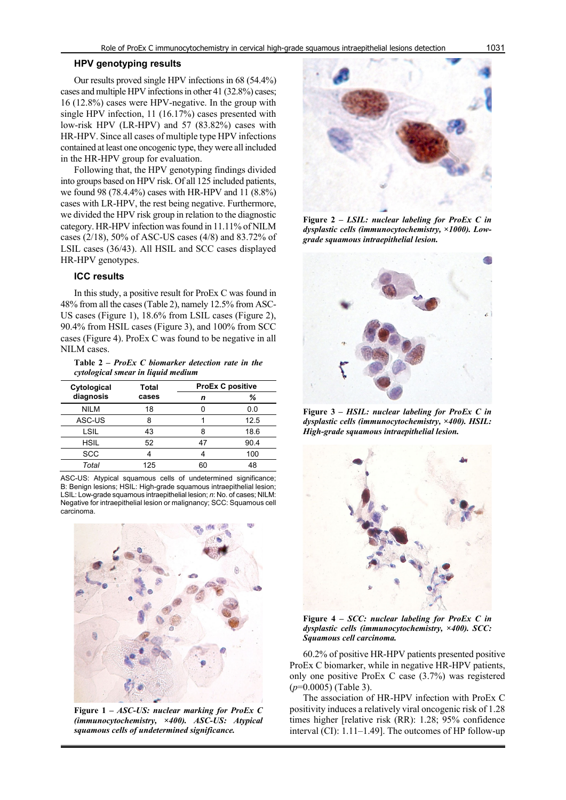## **HPV genotyping results**

Our results proved single HPV infections in 68 (54.4%) cases and multiple HPV infections in other 41 (32.8%) cases; 16 (12.8%) cases were HPV-negative. In the group with single HPV infection, 11 (16.17%) cases presented with low-risk HPV (LR-HPV) and 57 (83.82%) cases with HR-HPV. Since all cases of multiple type HPV infections contained at least one oncogenic type, they were all included in the HR-HPV group for evaluation.

Following that, the HPV genotyping findings divided into groups based on HPV risk. Of all 125 included patients, we found 98 (78.4.4%) cases with HR-HPV and 11 (8.8%) cases with LR-HPV, the rest being negative. Furthermore, we divided the HPV risk group in relation to the diagnostic category. HR-HPV infection was found in 11.11% of NILM cases (2/18), 50% of ASC-US cases (4/8) and 83.72% of LSIL cases (36/43). All HSIL and SCC cases displayed HR-HPV genotypes.

# **ICC results**

In this study, a positive result for ProEx C was found in 48% from all the cases (Table 2), namely 12.5% from ASC-US cases (Figure 1), 18.6% from LSIL cases (Figure 2), 90.4% from HSIL cases (Figure 3), and 100% from SCC cases (Figure 4). ProEx C was found to be negative in all NILM cases.

**Table 2 –** *ProEx C biomarker detection rate in the cytological smear in liquid medium*

| Cytological<br>diagnosis | Total<br>cases | <b>ProEx C positive</b> |      |  |
|--------------------------|----------------|-------------------------|------|--|
|                          |                | n                       | ℅    |  |
| <b>NILM</b>              | 18             |                         | 0.0  |  |
| ASC-US                   | 8              |                         | 12.5 |  |
| LSIL                     | 43             | я                       | 18.6 |  |
| <b>HSIL</b>              | 52             | 47                      | 90.4 |  |
| <b>SCC</b>               |                |                         | 100  |  |
| Total                    | 125            | ഩ                       | 48   |  |

ASC-US: Atypical squamous cells of undetermined significance; B: Benign lesions; HSIL: High-grade squamous intraepithelial lesion; LSIL: Low-grade squamous intraepithelial lesion; *n*: No. of cases; NILM: Negative for intraepithelial lesion or malignancy; SCC: Squamous cell carcinoma.



**Figure 1 –** *ASC-US: nuclear marking for ProEx C (immunocytochemistry, ×400). ASC-US: Atypical squamous cells of undetermined significance.*



**Figure 2 –** *LSIL: nuclear labeling for ProEx C in dysplastic cells (immunocytochemistry, ×1000). Lowgrade squamous intraepithelial lesion.*



**Figure 3 –** *HSIL: nuclear labeling for ProEx C in dysplastic cells (immunocytochemistry, ×400). HSIL: High-grade squamous intraepithelial lesion.*



**Figure 4 –** *SCC: nuclear labeling for ProEx C in dysplastic cells (immunocytochemistry, ×400). SCC: Squamous cell carcinoma.*

60.2% of positive HR-HPV patients presented positive ProEx C biomarker, while in negative HR-HPV patients, only one positive ProEx C case (3.7%) was registered (*p*=0.0005) (Table 3).

The association of HR-HPV infection with ProEx C positivity induces a relatively viral oncogenic risk of 1.28 times higher [relative risk (RR): 1.28; 95% confidence interval (CI): 1.11–1.49]. The outcomes of HP follow-up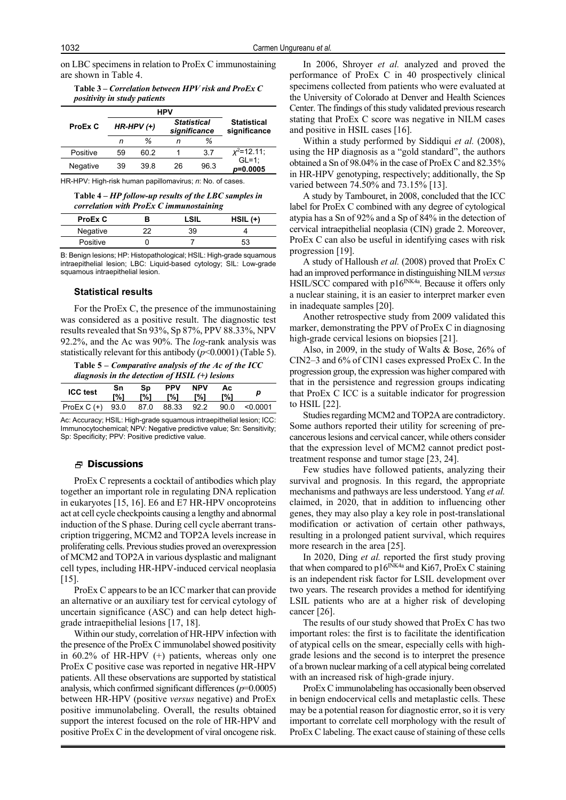on LBC specimens in relation to ProEx C immunostaining are shown in Table 4.

**Table 3 –** *Correlation between HPV risk and ProEx C positivity in study patients*

| <b>HPV</b>     |      |                                    |      |                                    |
|----------------|------|------------------------------------|------|------------------------------------|
| $HR-HPV$ $(+)$ |      | <b>Statistical</b><br>significance |      | <b>Statistical</b><br>significance |
| n              | %    | n                                  | %    |                                    |
| 59             | 60 2 |                                    | 37   | $x^2$ =12.11;                      |
| 39             | 39 8 | 26                                 | 96.3 | $GL=1$ :<br>$p=0.0005$             |
|                |      |                                    |      |                                    |

HR-HPV: High-risk human papillomavirus; *n*: No. of cases.

**Table 4 –** *HP follow-up results of the LBC samples in correlation with ProEx C immunostaining*

| ProEx C  |    | <b>LSIL</b> | $HSIL (+)$ |
|----------|----|-------------|------------|
| Negative | つつ | 39          |            |
| Positive |    |             | 53         |

B: Benign lesions; HP: Histopathological; HSIL: High-grade squamous intraepithelial lesion; LBC: Liquid-based cytology; SIL: Low-grade squamous intraepithelial lesion.

#### **Statistical results**

For the ProEx C, the presence of the immunostaining was considered as a positive result. The diagnostic test results revealed that Sn 93%, Sp 87%, PPV 88.33%, NPV 92.2%, and the Ac was 90%. The *log*-rank analysis was statistically relevant for this antibody (*p*<0.0001) (Table 5).

**Table 5 –** *Comparative analysis of the Ac of the ICC diagnosis in the detection of HSIL (+) lesions*

| anighosis in the actection of HSIL (1) testons |           |           |                   |                   |           |          |
|------------------------------------------------|-----------|-----------|-------------------|-------------------|-----------|----------|
| <b>ICC test</b>                                | Sn<br>[%] | Sp<br>[%] | <b>PPV</b><br>r%1 | <b>NPV</b><br>T%1 | Ac<br>[%] | р        |
| $ProEx C (+)$                                  | 93.0      |           | 87.0 88.33        | 92.2              | 90.0      | < 0.0001 |

Ac: Accuracy; HSIL: High-grade squamous intraepithelial lesion; ICC: Immunocytochemical; NPV: Negative predictive value; Sn: Sensitivity; Sp: Specificity; PPV: Positive predictive value.

## **Discussions**

ProEx C represents a cocktail of antibodies which play together an important role in regulating DNA replication in eukaryotes [15, 16]. E6 and E7 HR-HPV oncoproteins act at cell cycle checkpoints causing a lengthy and abnormal induction of the S phase. During cell cycle aberrant transcription triggering, MCM2 and TOP2A levels increase in proliferating cells. Previous studies proved an overexpression of MCM2 and TOP2A in various dysplastic and malignant cell types, including HR-HPV-induced cervical neoplasia [15].

ProEx C appears to be an ICC marker that can provide an alternative or an auxiliary test for cervical cytology of uncertain significance (ASC) and can help detect highgrade intraepithelial lesions [17, 18].

Within our study, correlation of HR-HPV infection with the presence of the ProEx C immunolabel showed positivity in 60.2% of HR-HPV (+) patients, whereas only one ProEx C positive case was reported in negative HR-HPV patients. All these observations are supported by statistical analysis, which confirmed significant differences (*p*=0.0005) between HR-HPV (positive *versus* negative) and ProEx positive immunolabeling. Overall, the results obtained support the interest focused on the role of HR-HPV and positive ProEx C in the development of viral oncogene risk.

In 2006, Shroyer *et al.* analyzed and proved the performance of ProEx C in 40 prospectively clinical specimens collected from patients who were evaluated at the University of Colorado at Denver and Health Sciences Center. The findings of this study validated previous research stating that ProEx C score was negative in NILM cases and positive in HSIL cases [16].

Within a study performed by Siddiqui *et al.* (2008), using the HP diagnosis as a "gold standard", the authors obtained a Sn of 98.04% in the case of ProEx C and 82.35% in HR-HPV genotyping, respectively; additionally, the Sp varied between 74.50% and 73.15% [13].

A study by Tambouret, in 2008, concluded that the ICC label for ProEx C combined with any degree of cytological atypia has a Sn of 92% and a Sp of 84% in the detection of cervical intraepithelial neoplasia (CIN) grade 2. Moreover, ProEx C can also be useful in identifying cases with risk progression [19].

A study of Halloush *et al.* (2008) proved that ProEx C had an improved performance in distinguishing NILM *versus* HSIL/SCC compared with p16<sup>INK4a</sup>. Because it offers only a nuclear staining, it is an easier to interpret marker even in inadequate samples [20].

Another retrospective study from 2009 validated this marker, demonstrating the PPV of ProEx C in diagnosing high-grade cervical lesions on biopsies [21].

Also, in 2009, in the study of Walts & Bose, 26% of CIN2–3 and 6% of CIN1 cases expressed ProEx C. In the progression group, the expression was higher compared with that in the persistence and regression groups indicating that ProEx C ICC is a suitable indicator for progression to HSIL [22].

Studies regarding MCM2 and TOP2A are contradictory. Some authors reported their utility for screening of precancerous lesions and cervical cancer, while others consider that the expression level of MCM2 cannot predict posttreatment response and tumor stage [23, 24].

Few studies have followed patients, analyzing their survival and prognosis. In this regard, the appropriate mechanisms and pathways are less understood. Yang *et al.* claimed, in 2020, that in addition to influencing other genes, they may also play a key role in post-translational modification or activation of certain other pathways, resulting in a prolonged patient survival, which requires more research in the area [25].

In 2020, Ding *et al.* reported the first study proving that when compared to p16<sup>INK4a</sup> and Ki67, ProEx C staining is an independent risk factor for LSIL development over two years. The research provides a method for identifying LSIL patients who are at a higher risk of developing cancer [26].

The results of our study showed that ProEx C has two important roles: the first is to facilitate the identification of atypical cells on the smear, especially cells with highgrade lesions and the second is to interpret the presence of a brown nuclear marking of a cell atypical being correlated with an increased risk of high-grade injury.

ProEx C immunolabeling has occasionally been observed in benign endocervical cells and metaplastic cells. These may be a potential reason for diagnostic error, so it is very important to correlate cell morphology with the result of ProEx C labeling. The exact cause of staining of these cells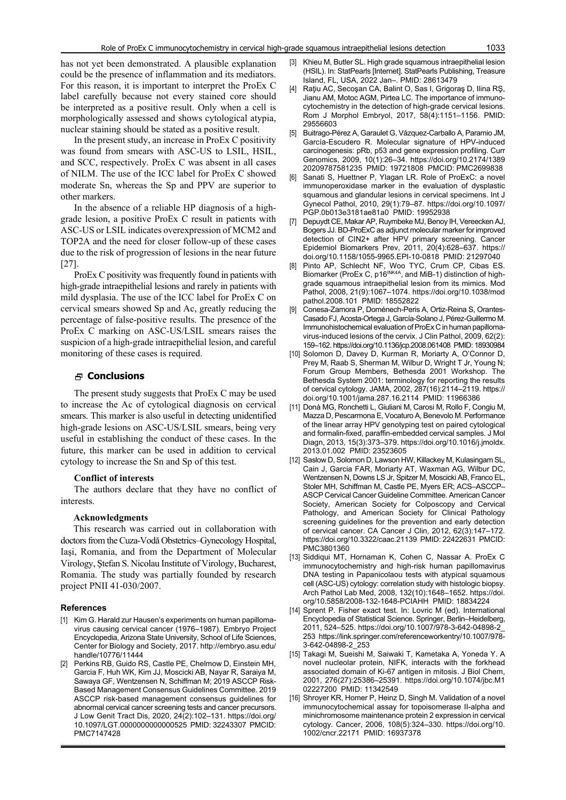has not yet been demonstrated. A plausible explanation could be the presence of inflammation and its mediators. For this reason, it is important to interpret the ProEx C label carefully because not every stained core should be interpreted as a positive result. Only when a cell is morphologically assessed and shows cytological atypia, nuclear staining should be stated as a positive result.

In the present study, an increase in ProEx C positivity was found from smears with ASC-US to LSIL, HSIL, and SCC, respectively. ProEx C was absent in all cases of NILM. The use of the ICC label for ProEx C showed moderate Sn, whereas the Sp and PPV are superior to other markers.

In the absence of a reliable HP diagnosis of a highgrade lesion, a positive ProEx C result in patients with ASC-US or LSIL indicates overexpression of MCM2 and TOP2A and the need for closer follow-up of these cases due to the risk of progression of lesions in the near future [27].

ProEx C positivity was frequently found in patients with high-grade intraepithelial lesions and rarely in patients with mild dysplasia. The use of the ICC label for ProEx C on cervical smears showed Sp and Ac, greatly reducing the percentage of false-positive results. The presence of the ProEx C marking on ASC-US/LSIL smears raises the suspicion of a high-grade intraepithelial lesion, and careful monitoring of these cases is required.

## **Conclusions**

The present study suggests that ProEx C may be used to increase the Ac of cytological diagnosis on cervical smears. This marker is also useful in detecting unidentified high-grade lesions on ASC-US/LSIL smears, being very useful in establishing the conduct of these cases. In the future, this marker can be used in addition to cervical cytology to increase the Sn and Sp of this test.

#### **Conflict of interests**

The authors declare that they have no conflict of interests.

#### **Acknowledgments**

This research was carried out in collaboration with doctors from the Cuza-Vodă Obstetrics–Gynecology Hospital, Iaşi, Romania, and from the Department of Molecular Virology, Ştefan S. Nicolau Institute of Virology, Bucharest, Romania. The study was partially founded by research project PNII 41-030/2007.

#### **References**

- [1] Kim G. Harald zur Hausen's experiments on human papillomavirus causing cervical cancer (1976–1987). Embryo Project Encyclopedia, Arizona State University, School of Life Sciences, Center for Biology and Society, 2017. http://embryo.asu.edu/ handle/10776/11444
- [2] Perkins RB, Guido RS, Castle PE, Chelmow D, Einstein MH, Garcia F, Huh WK, Kim JJ, Moscicki AB, Nayar R, Saraiya M, Sawaya GF, Wentzensen N, Schiffman M; 2019 ASCCP Risk-Based Management Consensus Guidelines Committee. 2019 ASCCP risk-based management consensus guidelines for abnormal cervical cancer screening tests and cancer precursors. J Low Genit Tract Dis, 2020, 24(2):102–131. https://doi.org/ 10.1097/LGT.0000000000000525 PMID: 32243307 PMCID: PMC7147428
- [3] Khieu M, Butler SL. High grade squamous intraepithelial lesion (HSIL). In: StatPearls [Internet]. StatPearls Publishing, Treasure Island, FL, USA, 2022 Jan–. PMID: 28613479
- [4] Raţiu AC, Secoşan CA, Balint O, Sas I, Grigoraş D, Ilina RŞ, Jianu AM, Motoc AGM, Pirtea LC. The importance of immunocytochemistry in the detection of high-grade cervical lesions. Rom J Morphol Embryol, 2017, 58(4):1151–1156. PMID: 29556603
- [5] Buitrago-Pérez A, Garaulet G, Vázquez-Carballo A, Paramio JM, García-Escudero R. Molecular signature of HPV-induced carcinogenesis: pRb, p53 and gene expression profiling. Curr Genomics, 2009, 10(1):26–34. https://doi.org/10.2174/1389 20209787581235 PMID: 19721808 PMCID: PMC2699838
- [6] Sanati S, Huettner P, Ylagan LR. Role of ProExC: a novel immunoperoxidase marker in the evaluation of dysplastic squamous and glandular lesions in cervical specimens. Int J Gynecol Pathol, 2010, 29(1):79–87. https://doi.org/10.1097/ PGP.0b013e3181ae81a0 PMID: 19952938
- [7] Depuydt CE, Makar AP, Ruymbeke MJ, Benoy IH, Vereecken AJ, Bogers JJ. BD-ProExC as adjunct molecular marker for improved detection of CIN2+ after HPV primary screening. Cancer Epidemiol Biomarkers Prev, 2011, 20(4):628–637. https:// doi.org/10.1158/1055-9965.EPI-10-0818 PMID: 21297040
- [8] Pinto AP, Schlecht NF, Woo TYC, Crum CP, Cibas ES. Biomarker (ProEx C, p16<sup>INK4A</sup>, and MiB-1) distinction of highgrade squamous intraepithelial lesion from its mimics. Mod Pathol, 2008, 21(9):1067–1074. https://doi.org/10.1038/mod pathol.2008.101 PMID: 18552822
- [9] Conesa-Zamora P, Doménech-Peris A, Ortiz-Reina S, Orantes-Casado FJ, Acosta-Ortega J, García-Solano J, Pérez-Guillermo M. Immunohistochemical evaluation of ProEx C in human papillomavirus-induced lesions of the cervix. J Clin Pathol, 2009, 62(2): 159–162. https://doi.org/10.1136/jcp.2008.061408 PMID: 18930984
- [10] Solomon D, Davey D, Kurman R, Moriarty A, O'Connor D, Prey M, Raab S, Sherman M, Wilbur D, Wright T Jr, Young N; Forum Group Members, Bethesda 2001 Workshop. The Bethesda System 2001: terminology for reporting the results of cervical cytology. JAMA, 2002, 287(16):2114–2119. https:// doi.org/10.1001/jama.287.16.2114 PMID: 11966386
- [11] Donà MG, Ronchetti L, Giuliani M, Carosi M, Rollo F, Congiu M, Mazza D, Pescarmona E, Vocaturo A, Benevolo M. Performance of the linear array HPV genotyping test on paired cytological and formalin-fixed, paraffin-embedded cervical samples. J Mol Diagn, 2013, 15(3):373–379. https://doi.org/10.1016/j.jmoldx. 2013.01.002 PMID: 23523605
- [12] Saslow D, Solomon D, Lawson HW, Killackey M, Kulasingam SL, Cain J, Garcia FAR, Moriarty AT, Waxman AG, Wilbur DC, Wentzensen N, Downs LS Jr, Spitzer M, Moscicki AB, Franco EL, Stoler MH, Schiffman M, Castle PE, Myers ER; ACS–ASCCP– ASCP Cervical Cancer Guideline Committee. American Cancer Society, American Society for Colposcopy and Cervical Pathology, and American Society for Clinical Pathology screening guidelines for the prevention and early detection of cervical cancer. CA Cancer J Clin, 2012, 62(3):147–172. https://doi.org/10.3322/caac.21139 PMID: 22422631 PMCID: PMC3801360
- [13] Siddiqui MT, Hornaman K, Cohen C, Nassar A. ProEx C immunocytochemistry and high-risk human papillomavirus DNA testing in Papanicolaou tests with atypical squamous cell (ASC-US) cytology: correlation study with histologic biopsy. Arch Pathol Lab Med, 2008, 132(10):1648–1652. https://doi. org/10.5858/2008-132-1648-PCIAHH PMID: 18834224
- [14] Sprent P. Fisher exact test. In: Lovric M (ed). International Encyclopedia of Statistical Science. Springer, Berlin–Heidelberg, 2011, 524–525. https://doi.org/10.1007/978-3-642-04898-2\_ 253 https://link.springer.com/referenceworkentry/10.1007/978- 3-642-04898-2\_253
- [15] Takagi M, Sueishi M, Saiwaki T, Kametaka A, Yoneda Y. A novel nucleolar protein, NIFK, interacts with the forkhead associated domain of Ki-67 antigen in mitosis. J Biol Chem, 2001, 276(27):25386–25391. https://doi.org/10.1074/jbc.M1 02227200 PMID: 11342549
- [16] Shroyer KR, Homer P, Heinz D, Singh M. Validation of a novel immunocytochemical assay for topoisomerase II-alpha and minichromosome maintenance protein 2 expression in cervical cytology. Cancer, 2006, 108(5):324–330. https://doi.org/10. 1002/cncr.22171 PMID: 16937378